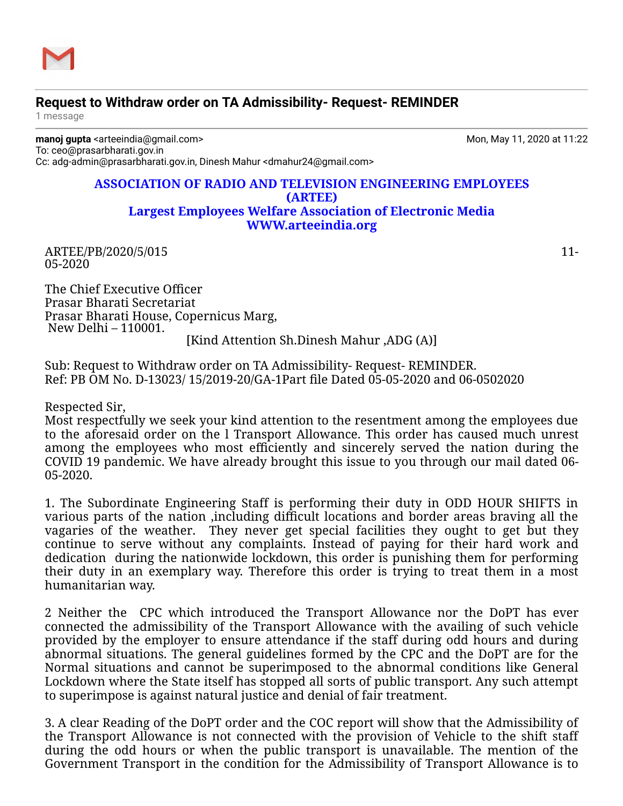

## **Request to Withdraw order on TA Admissibility- Request- REMINDER**

1 message

**manoj gupta** <arteeindia@gmail.com> Mon, May 11, 2020 at 11:22 To: ceo@prasarbharati.gov.in Cc: adg-admin@prasarbharati.gov.in, Dinesh Mahur <dmahur24@gmail.com>

## **ASSOCIATION OF RADIO AND TELEVISION ENGINEERING EMPLOYEES (ARTEE) Largest Employees Welfare Association of Electronic Media [WWW.arteeindia.org](http://www.arteeindia.org/)**

ARTEE/PB/2020/5/015 11-05-2020

The Chief Executive Officer Prasar Bharati Secretariat Prasar Bharati House, Copernicus Marg, New Delhi – 110001. [Kind Attention Sh.Dinesh Mahur ,ADG (A)]

Sub: Request to Withdraw order on TA Admissibility- Request- REMINDER. Ref: PB OM No. D-13023/ 15/2019-20/GA-1Part file Dated 05-05-2020 and 06-0502020

Respected Sir,

Most respectfully we seek your kind attention to the resentment among the employees due to the aforesaid order on the l Transport Allowance. This order has caused much unrest among the employees who most efficiently and sincerely served the nation during the COVID 19 pandemic. We have already brought this issue to you through our mail dated 06- 05-2020.

1. The Subordinate Engineering Staff is performing their duty in ODD HOUR SHIFTS in various parts of the nation ,including difficult locations and border areas braving all the vagaries of the weather. They never get special facilities they ought to get but they continue to serve without any complaints. Instead of paying for their hard work and dedication during the nationwide lockdown, this order is punishing them for performing their duty in an exemplary way. Therefore this order is trying to treat them in a most humanitarian way.

2 Neither the CPC which introduced the Transport Allowance nor the DoPT has ever connected the admissibility of the Transport Allowance with the availing of such vehicle provided by the employer to ensure attendance if the staff during odd hours and during abnormal situations. The general guidelines formed by the CPC and the DoPT are for the Normal situations and cannot be superimposed to the abnormal conditions like General Lockdown where the State itself has stopped all sorts of public transport. Any such attempt to superimpose is against natural justice and denial of fair treatment.

3. A clear Reading of the DoPT order and the COC report will show that the Admissibility of the Transport Allowance is not connected with the provision of Vehicle to the shift staff during the odd hours or when the public transport is unavailable. The mention of the Government Transport in the condition for the Admissibility of Transport Allowance is to